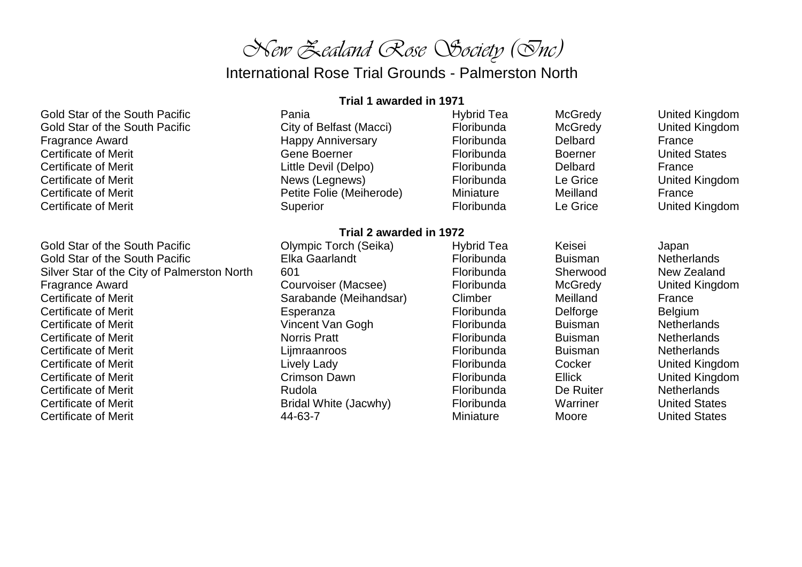# *New Zealand Rose Society (Inc)*

International Rose Trial Grounds - Palmerston North

#### **Trial 1 awarded in 1971**

| Gold Star of the South Pacific | Pania                    | Hybrid Tea | <b>McGredy</b> | United Kingdom        |
|--------------------------------|--------------------------|------------|----------------|-----------------------|
| Gold Star of the South Pacific | City of Belfast (Macci)  | Floribunda | <b>McGredy</b> | United Kingdom        |
| Fragrance Award                | <b>Happy Anniversary</b> | Floribunda | Delbard        | France                |
| <b>Certificate of Merit</b>    | Gene Boerner             | Floribunda | <b>Boerner</b> | <b>United States</b>  |
| <b>Certificate of Merit</b>    | Little Devil (Delpo)     | Floribunda | <b>Delbard</b> | France                |
| <b>Certificate of Merit</b>    | News (Legnews)           | Floribunda | Le Grice       | United Kingdom        |
| <b>Certificate of Merit</b>    | Petite Folie (Meiherode) | Miniature  | Meilland       | France                |
| <b>Certificate of Merit</b>    | Superior                 | Floribunda | Le Grice       | <b>United Kingdom</b> |

#### **Trial 2 awarded in 1972**

Certificate of Merit 44-63-7 Miniature Moore United States

Gold Star of the South Pacific **Collect Colympic Torch (Seika)** Hybrid Tea Keisei Keisei Japan Gold Star of the South Pacific **Elka Gaarlandt** Floribunda Buisman Netherlands Silver Star of the City of Palmerston North 601 601 Floribunda Sherwood New Zealand Fragrance Award **Example 20** Courvoiser (Macsee) Floribunda McGredy United Kingdom Certificate of Merit **Sarabande (Meihandsar)** Climber Meilland Meilland France Certificate of Merit **Experanza** Esperanza **Floribunda** Delforge Belgium Certificate of Merit **Vincent Van Gogh** Floribunda Buisman Netherlands Certificate of Merit **Norris Pratt** Norris Pratt Floribunda Buisman Netherlands Certificate of Merit **Community Certificate of Meritian** Lignal Lijmraanroos **Certificate Buisman Netherlands** Certificate of Merit **Litude Community Constructs Constructs** Cocker Cocker Cocker United Kingdom Certificate of Merit Crimson Dawn Floribunda Ellick United Kingdom Certificate of Merit **Rundom Certificate of Merith** Netherlands Rudola **Rundom Certificate De Ruiter Netherlands** Certificate of Merit **Exercise 20 Notal Accele** Bridal White (Jacwhy) **Floribunda** Warriner Warriner United States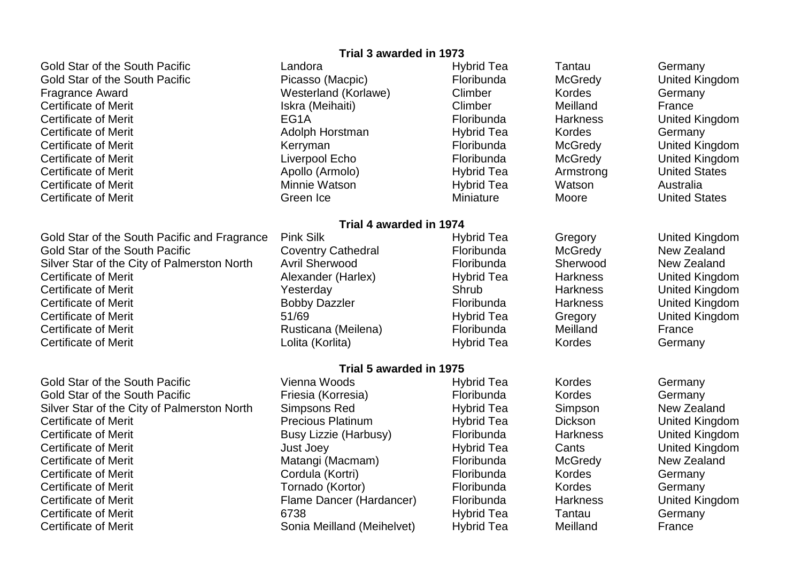Gold Star of the South Pacific **Collection Canadian Canadian Collection** Hybrid Tea Tantau Germany Gold Star of the South Pacific **Picasso (Macpic)** Floribunda McGredy United Kingdom Fragrance Award Westerland (Korlawe) Climber Kordes Germany Certificate of Merit **Iskra (Meihaiti)** Certificate of Meilland France Certificate of Merit **EG1A** Floribunda Harkness United Kingdom Certificate of Merit **Allecticate of Merit** Adolph Horstman **Hybrid Tea** Kordes Germany Certificate of Merit **Kerryman Kerryman** Kerryman Floribunda McGredy United Kingdom Certificate of Merit **Little Contract Certificate of Merith** United Kingdom Liverpool Echo **Floribunda** McGredy United Kingdom Certificate of Merit Apollo (Armolo) Hybrid Tea Armstrong United States Certificate of Merit Minnie Watson Hybrid Tea Watson Australia Certificate of Merit **Green Ice** Green Ice **Miniature** Moore Moore United States

Gold Star of the South Pacific and Fragrance Pink Silk Hybrid Tea Gregory United Kingdom Gold Star of the South Pacific **Coventry Cathedral** Floribunda McGredy New Zealand<br>Silver Star of the City of Palmerston North Avril Sherwood Floribunda Sherwood New Zealand Silver Star of the City of Palmerston North Avril Sherwood Floribunda Sherwood New Zealand Certificate of Merit **Alexander (Harlex)** Hybrid Tea Harkness United Kingdom Certificate of Merit Yesterday Shrub Harkness United Kingdom Certificate of Merit **Exercise South Access** Bobby Dazzler **Floribunda** Harkness **Harkness** United Kingdom Certificate of Merit **Example 2018** 51/69 The State of Merit Alexander State of Merit Alexander State 31/69 The Hybrid Tea Gregory Chrited Kingdom Certificate of Merit **Exercise 2.1 Certificate of Meilena** Rusticana (Meilena) **Floribunda** Meilland France Certificate of Merit **Conserversity** Certificate of Merit Australian Lolita (Korlita) **Hybrid Tea** Kordes Germany

Gold Star of the South Pacific **Collect Club Vienna Woods Hybrid Tea** Kordes Germany Gold Star of the South Pacific **Friesia (Korresia)** Floribunda Kordes Germany Silver Star of the City of Palmerston North Simpsons Red Hybrid Tea Simpson New Zealand Certificate of Merit **Precious Platinum** Hybrid Tea Dickson United Kingdom Certificate of Merit **Exercise Certificate of Merit** Australian Harkness Certificate of Merit Australian Busy Lizzie (Harbusy) **Floribunda** Harkness Chrited Kingdom Certificate of Merit **Certificate of Merit** Alleman Must Joey **Hybrid Tea** Cants Cants United Kingdom Certificate of Merit **Matangi (Macmam)** Floribunda McGredy New Zealand Certificate of Merit **Cornel Cordula (Kortri)** Floribunda Kordes Germany Certificate of Merit **The Community Certificate of Merity Cermany** Floribunda Cermany Cermany Certificate of Merit Flame Dancer (Hardancer) Floribunda Harkness United Kingdom Certificate of Merit 6738 Hybrid Tea Tantau Germany Certificate of Merit **Sonia Meilland (Meihelvet)** Hybrid Tea Meilland Meilland France

#### **Trial 3 awarded in 1973**

## **Trial 4 awarded in 1974**

# **Trial 5 awarded in 1975**<br>Hy<br/> Vienna Woods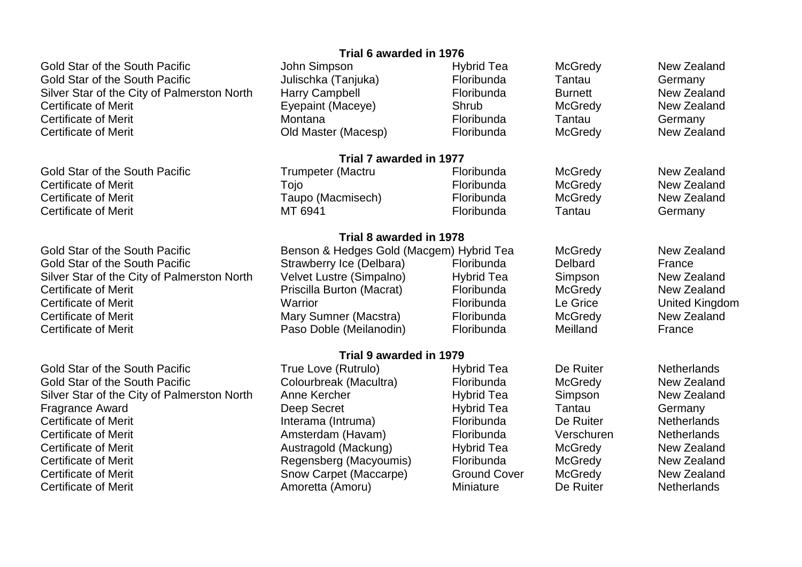Gold Star of the South Pacific **Subset Collection Collection Simpson** Hybrid Tea McGredy New Zealand Gold Star of the South Pacific **Star Acid Star of the South Pacific** Julischka (Tanjuka) Floribunda Tantau Germany Silver Star of the City of Palmerston North Harry Campbell **Floribunda** Burnett New Zealand<br>Certificate of Merit **New Zealand** Frepaint (Maceve) Shrub McGredy New Zealand Certificate of Merit **Exepaint (Maceye)** Shrub Shrub McGredy Certificate of Merit Montana Floribunda Tantau Germany Certificate of Merit Old Master (Macesp) Floribunda McGredy New Zealand

Gold Star of the South Pacific **Trumpeter (Mactru** Floribunda McGredy New Zealand Certificate of Merit **The Contract of Certificate of Merity Acts Acts Acts Certificate of Merity Acts Acts Acts** Certificate of Merit **Caupo Caupo (Macmisech)** Floribunda McGredy New Zealand Certificate of Merit **MIC 6941** MT 6941 **Floribunda** Tantau Germany

Gold Star of the South Pacific True Love (Rutrulo) True Love (Rutrulo) Hybrid Tea De Ruiter Netherlands Gold Star of the South Pacific **Colourbreak (Macultra)** Floribunda McGredy New Zealand Silver Star of the City of Palmerston North Anne Kercher **Hybrid Tea** Simpson New Zealand Fragrance Award **Example 20** Ceep Secret **Container Hybrid Tea** Tantau Germany Certificate of Merit Interama (Intruma) Floribunda De Ruiter Netherlands Certificate of Merit Amsterdam (Havam) Floribunda Verschuren Netherlands Certificate of Merit **Contragold (Mackung)** Certificate of Merity New Zealand Certificate of Merit **Certificate of Merit** Certificate of Merit Allemannia Regensberg (Macyoumis) Floribunda McGredy New Zealand<br>Certificate of Merit **Certificate of Merity Certificate of Merity Certificate of Merity Cert** Certificate of Merit **Show Carpet (Maccarpe)** Ground Cover McGredy Certificate of McGredy Certificate of Merit **Allectricate Certificate of Meriter Amoretta** (Amoru) Miniature Certificate De Ruiter Netherlands

# **Trial 6 awarded in 1976**

**Trial 7 awarded in 1977**

# **Trial 8 awarded in 1978** Gold Star of the South Pacific **Benson & Hedges Gold (Macgem) Hybrid Tea** McGredy New Zealand<br>Gold Star of the South Pacific Strawberry Ice (Delbara) Floribunda Delbard France Gold Star of the South Pacific Strawberry Ice (Delbara) Floribunda Delbard France Silver Star of the City of Palmerston North Velvet Lustre (Simpalno) Hybrid Tea Simpson New Zealand Certificate of Merit Priscilla Burton (Macrat) Floribunda McGredy New Zealand Certificate of Merit **Exercice Certificate of Merit** Warrior **Number 2018** Certificate Certificate of Merit Certificate of Merit **Mary Summer (Macstra)** Certificate of McGredy New Zealand Certificate of Merit **Exercise 20** Taso Doble (Meilanodin) Floribunda Meilland France

**Trial 9 awarded in 1979**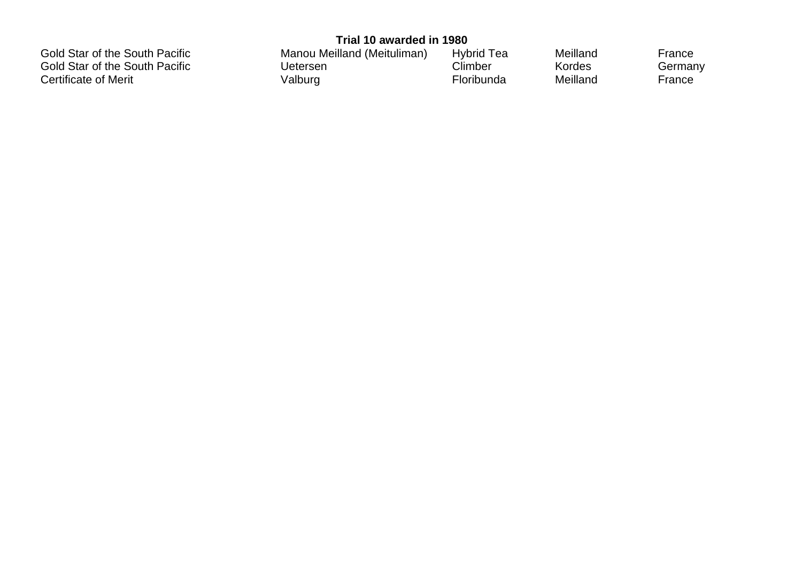Certificate of Merit

**Trial 10 awarded in 1980** Gold Star of the South Pacific **Manou Meilland (Meituliman)** Hybrid Tea Meilland France France<br>Gold Star of the South Pacific **Clumber** Climber For Kordes Germany Gold Star of the South Pacific **Climber** Uetersen Climber Climber Kordes German<br>Certificate of Merit **Climber** Certificate of Merit Certificate of Merit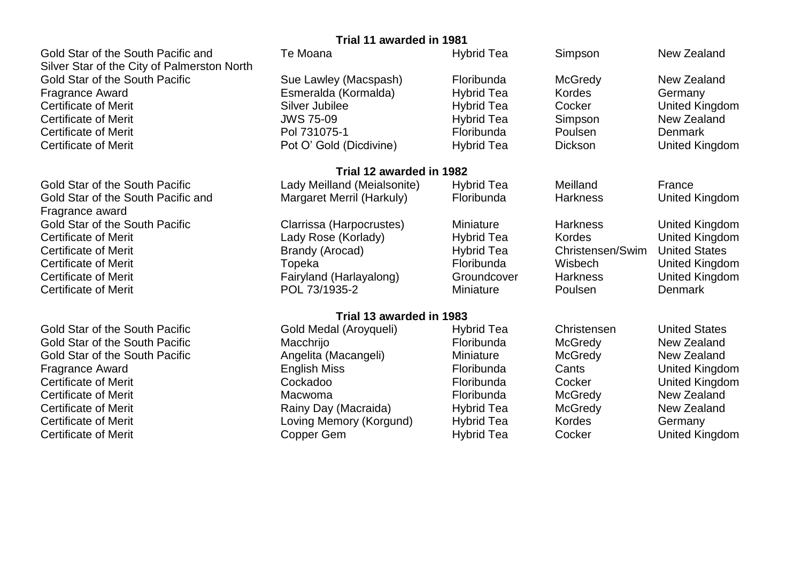Silver Star of the City of Palmerston North

Fragrance award

**Trial 11 awarded in 1981** Gold Star of the South Pacific and Te Moana Te Moana Hybrid Tea Simpson New Zealand Gold Star of the South Pacific Sue Lawley (Macspash) Floribunda McGredy New Zealand Fragrance Award **Exmeralda (Kormalda)** Hybrid Tea Kordes Germany Cermany<br>Certificate of Merit **Example Silver Jubilee** Hybrid Tea Cocker (United Kir Certificate of Merit **Summan Access Certificate of Merit** Silver Jubilee **Network Cocker Cocker Cocker United Kingdom** Certificate of Merit JWS 75-09 Hybrid Tea Simpson New Zealand Certificate of Merit Pol 731075-1 Floribunda Poulsen Denmark Certificate of Merit **Pot O' Gold (Dicdivine)** Hybrid Tea Dickson United Kingdom **Trial 12 awarded in 1982** Gold Star of the South Pacific **Cold Star of the South Pacific** Lady Meilland (Meialsonite) Hybrid Tea Meilland Meilland France Cold Star of the South Pacific and Margaret Merril (Harkuly) Floribunda Harkness United I Gold Star of the South Pacific and Margaret Merril (Harkuly) Floribunda Harkness United Kingdom Gold Star of the South Pacific **Clarrissa (Harpocrustes)** Miniature Harkness United Kingdom Certificate of Merit **Community Certificate of Merit** Annual Meriticate Certificate of Meriticate Community Certificate of Meriticate Community Certificate of Meriticate Community Certificate Community Certificate Communit Certificate of Merit **Exercise Center Arror Center Arror Christensen/Swim United States** Christensen/Swim United States Certificate of Merit **The Contract Certificate of Merit** Merit Topeka **Floribunda** Wisbech United Kingdom Certificate of Merit **Fairyland (Harlayalong)** Groundcover Harkness United Kingdom Certificate of Merit POL 73/1935-2 Miniature Poulsen Denmark **Trial 13 awarded in 1983** Gold Star of the South Pacific **Gold Medal (Aroyqueli)** Hybrid Tea Christensen United States Gold Star of the South Pacific **Macchrijo** Macchrijo **Floribunda** McGredy New Zealand Gold Star of the South Pacific **Angelita (Macangeli)** Miniature McGredy McGredy New Zealand Fragrance Award **English Miss** Floribunda Cants United Kingdom Certificate of Merit **Cockadoo** Cockadoo **Floribunda** Cocker United Kingdom Certificate of Merit **Certificate of Merith Certificate of Merity** Macwoma **Macwoma Floribunda** McGredy New Zealand Certificate of Merit **Exercise 20** New Zealand Rainy Day (Macraida) Hybrid Tea McGredy New Zealand Certificate of Merit **Example 20 Finds Certificate of Merity Cernany** Loving Memory (Korgund) Hybrid Tea Kordes Germany Certificate of Merit Copper Gem Hybrid Tea Cocker United Kingdom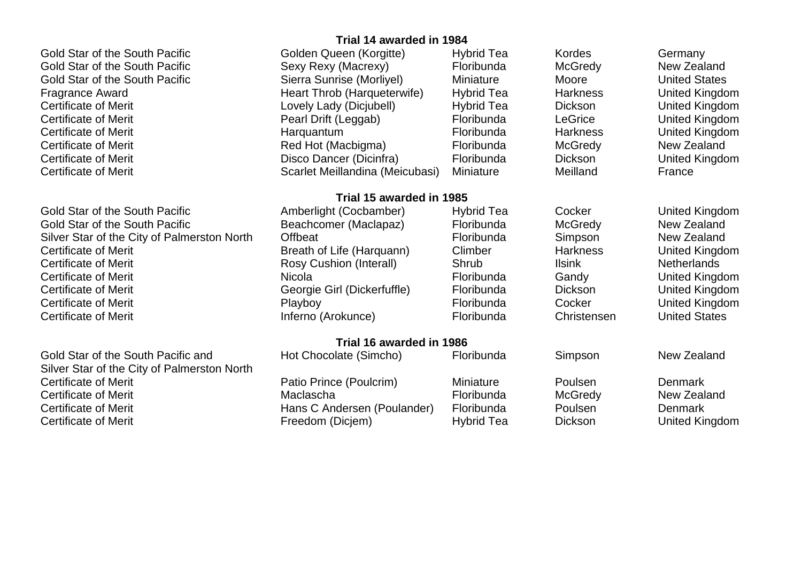Gold Star of the South Pacific **Golden Queen (Korgitte)** Hybrid Tea Kordes Germany

Gold Star of the South Pacific **Amberlight (Cocbamber)** Hybrid Tea Cocker United Kingdom Gold Star of the South Pacific **Beachcomer (Maclapaz)** Floribunda McGredy New Zealand Silver Star of the City of Palmerston North Offbeat **From Communist Club Control** Floribunda Simpson New Zealand Certificate of Merit **Breath of Life (Harquann)** Climber Harkness United Kingdom Certificate of Merit **Exercise 2018** Rosy Cushion (Interall) Shrub Ilsink Netherlands Certificate of Merit **Nicola** Nicola **Nicola Reserves Constructs Candy** Gandy United Kingdom Certificate of Merit **CERTIC CERTIC CERTIC GEORGIE Girl (Dickerfuffle)** Floribunda Dickson United Kingdom Certificate of Merit **Exercice Community** Playboy **Floribunda** Cocker United Kingdom Certificate of Merit Inferno (Arokunce) Floribunda Christensen United States

Gold Star of the South Pacific and Hot Chocolate (Simcho) Floribunda Simpson New Zealand Silver Star of the City of Palmerston North

# **Trial 14 awarded in 1984**

Gold Star of the South Pacific Sexy Rexy (Macrexy) Floribunda McGredy New Zealand Gold Star of the South Pacific Sierra Sunrise (Morliyel) Miniature Moore Moore United States Fragrance Award **Heart Throb (Harqueterwife)** Hybrid Tea Harkness United Kingdom Certificate of Merit **Lovely Lady (Diciubell)** Hybrid Tea Dickson United Kingdom Certificate of Merit **Edgeb** Pearl Drift (Leggab) **Floribunda** LeGrice United Kingdom Certificate of Merit **Acker Entity Certificate of Merit Angles** Harquantum **Floribunda** Harkness Bunited Kingdom Certificate of Merit **Red Hot (Macbigma)** Floribunda McGredy New Zealand Certificate of Merit Disco Dancer (Dicinfra) Floribunda Dickson United Kingdom Certificate of Merit **Scarlet Meillandina** (Meicubasi) Miniature Meilland Meilland France

# **Trial 15 awarded in 1985**

# **Trial 16 awarded in 1986**

Certificate of Merit **Neticle 2018** Patio Prince (Poulcrim) Miniature Poulsen Poulsen Denmark Certificate of Merit **Certificate of Merith Certificate of Merity** Maclascha Certificate of Merita McGredy New Zealand Certificate of Merit **Exercice 2** Certificate of Merit Nehmark Hans C Andersen (Poulander) Floribunda Poulsen Denmark Certificate of Merit **Freedom (Diciem)** Freedom (Diciem) Hybrid Tea Dickson Dickson United Kingdom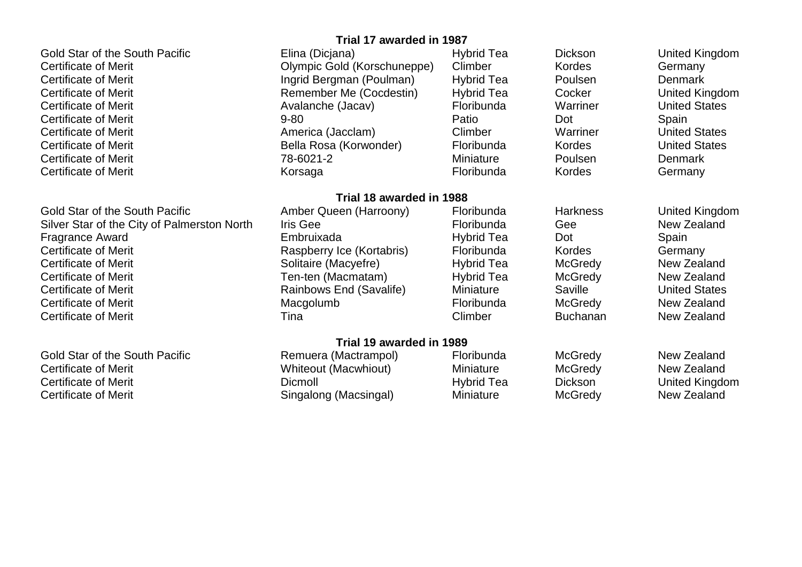Gold Star of the South Pacific **Elina (Diciana)** Elina (Diciana) Hybrid Tea Dickson Dickson United Kingdom Certificate of Merit **CERTIC COLICES** Clympic Gold (Korschuneppe) Climber Kordes Germany Certificate of Merit **Ingrid Bergman (Poulman)** Hybrid Tea Poulsen Denmark Certificate of Merit **Remember Me (Cocdestin)** Hybrid Tea Cocker United Kingdom Certificate of Merit **Exercice Certificate of Merit** Avalanche (Jacav) **Floribunda** Warriner United States Certificate of Merit 9-80 Patio Dot Spain Certificate of Merit **America (Jacclam)** Climber Warriner United States Certificate of Merit **Bella Rosa (Korwonder)** Floribunda Kordes United States Certificate of Merit 78-6021-2 Miniature Poulsen Denmark Certificate of Merit **Community Certificate of Merit** Korsaga **Floribunda** Kordes Germany

Gold Star of the South Pacific **Amber Queen (Harroony)** Floribunda Harkness United Kingdom Silver Star of the City of Palmerston North Iris Gee **Floribunda** Gee New Zealand Fragrance Award **Embruixada** Embruixada Hybrid Tea Dot Spain Certificate of Merit **Exercicial Certificate of Merit** Germany Responsive Cesserv Ice (Kortabris) Floribunda Kordes Germany Certificate of Merit **Solitaire (Macyefre)** Hybrid Tea McGredy New Zealand Certificate of Merit **Ten-ten (Macmatam)** Hybrid Tea McGredy New Zealand Certificate of Merit **Cannows End (Savalife)** Miniature Saville States United States Certificate of Merit Macgolumb Floribunda McGredy New Zealand Certificate of Merit Tina Climber Buchanan New Zealand

Gold Star of the South Pacific **Remuera (Mactrampol)** Floribunda McGredy Rew Zealand Certificate of Merit **Minimum Certificate of Merit Accelerate Certificate of Merit Accelerate Certificate of Merit** Certificate of Merit **Certificate of Merit** Alexander Meriticate of Meriticate of Meriticate Controll Dickson Certificate of Meriticate Alexander Dickson Certificate of Meriticate Alexander Dickson Certificate of Meriticat Certificate of Merit **Singalong (Macsingal)** Miniature McGredy McGredy New Zealand

# **Trial 17 awarded in 1987**

# **Trial 18 awarded in 1988**

# **Trial 19 awarded in 1989**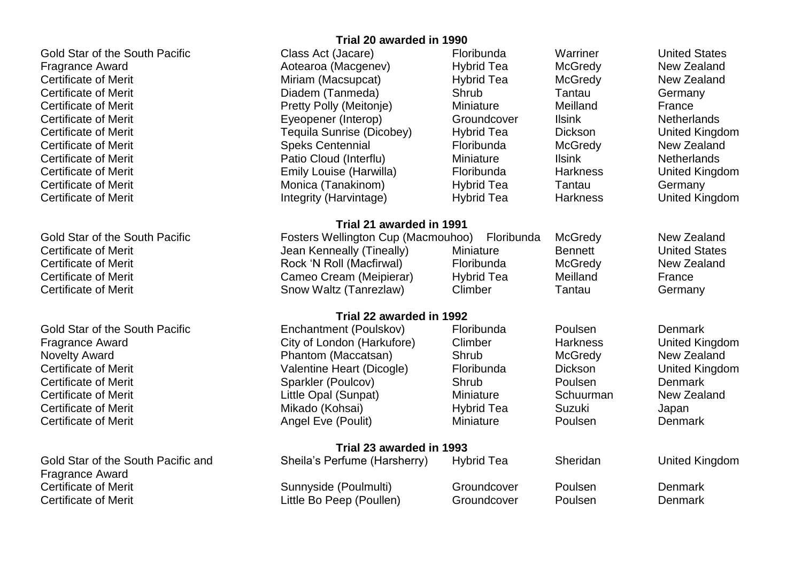Gold Star of the South Pacific **Class Act (Jacare)** Floribunda Warriner United States

Certificate of Merit **Show Waltz (Tanrezlaw**) Climber **Tantau** Germany

Gold Star of the South Pacific **Enchantment (Poulskov)** Floribunda Poulsen Poulsen Denmark

Gold Star of the South Pacific and Sheila's Perfume (Harsherry) Hybrid Tea Sheridan United Kingdom Fragrance Award Certificate of Merit **Sunnyside** (Poulmulti) Groundcover Poulsen Denmark Certificate of Merit Cherchine Little Bo Peep (Poullen) Coundcover Poulsen Denmark

# **Trial 20 awarded in 1990**

Fragrance Award **Alternative Controller Antibolism** Aotearoa (Macgenev) Hybrid Tea McGredy New Zealand Certificate of Merit **Multiple Certificate of Merity Certificate of Merity Certificate of Merity Cealand** New Zealand Certificate of Merit Diadem (Tanmeda) Shrub Tantau Germany Certificate of Merit **Exercise 20** Pretty Polly (Meitonje) Miniature Meilland France Certificate of Merit Eyeopener (Interop) Groundcover Ilsink Netherlands Certificate of Merit Tequila Sunrise (Dicobey) Hybrid Tea Dickson United Kingdom Certificate of Merit **Speks Centennial** Floribunda McGredy New Zealand Certificate of Merit **Communist Cloud (Interflu)** Miniature Miniature Ilsink Netherlands Certificate of Merit **Emily Louise (Harwilla)** Floribunda Harkness United Kingdom Certificate of Merit **Musica (Tanakinom)** Hybrid Tea Tantau Germany Certificate of Merit **Integrity (Harvintage)** Hybrid Tea Harkness United Kingdom **Trial 21 awarded in 1991** Gold Star of the South Pacific **Fosters Wellington Cup (Macmouhoo)** Floribunda McGredy New Zealand Certificate of Merit **Centificate of Merit** Alexander Meriticate Jean Kenneally (Tineally) Miniature Bennett United States Certificate of Merit **Rock 'N Rock 'N Roll (Macfirwal)** Floribunda McGredy New Zealand Certificate of Merit **Cameo Cream (Meipierar)** Hybrid Tea Meilland France

#### **Trial 22 awarded in 1992**

**Trial 23 awarded in 1993**

Fragrance Award City of London (Harkufore) Climber Harkness United Kingdom Novelty Award Phantom (Maccatsan) Shrub McGredy New Zealand Certificate of Merit Valentine Heart (Dicogle) Floribunda Dickson United Kingdom Certificate of Merit **Sparkler (Poulcov)** Shrub Shrub Poulsen Denmark Certificate of Merit **Little Opal (Sunpat)** Miniature Schuurman New Zealand Certificate of Merit **Mikado (Kohsai)** Mikado (Kohsai) Hybrid Tea Suzuki Suzuki Japan Certificate of Merit **Angel Eve (Poulit)** Miniature Poulsen Denmark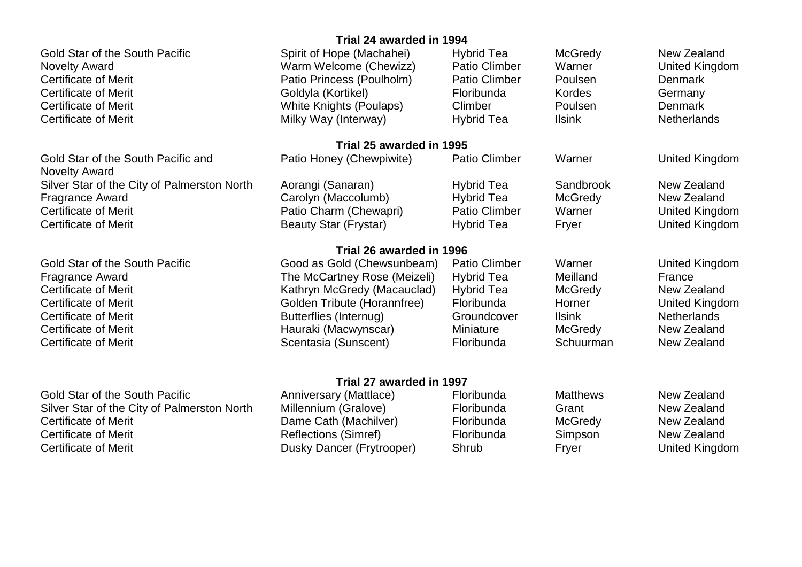Gold Star of the South Pacific Spirit of Hope (Machahei) Hybrid Tea McGredy New Zealand Novelty Award Warm Welcome (Chewizz) Patio Climber Warner United Kingdom Certificate of Merit Patio Princess (Poulholm) Patio Climber Poulsen Denmark Certificate of Merit **Collog Coldyla (Kortikel)** Floribunda Kordes Germany Certificate of Merit **Channel Certificate of Merit** White Knights (Poulaps) Climber **Poulsen** Poulsen Denmark Certificate of Merit **Milky Way (Interway)** Hybrid Tea Ilsink Netherlands

Gold Star of the South Pacific **Anniversary (Mattlace)** Floribunda Matthews New Zealand Silver Star of the City of Palmerston North Millennium (Gralove) Floribunda Grant Grant New Zealand Certificate of Merit **Callanger Cath (Machilver)** Certificate McGredy New Zealand Certificate of Merit **Exercicial Certificate of Merit According Reflections (Simref)** Floribunda Simpson New Zealand Certificate of Merit **Exercise 20** Eusky Dancer (Frytrooper) Shrub Fryer Fryer United Kingdom

# **Trial 24 awarded in 1994**

## **Trial 25 awarded in 1995**

| Gold Star of the South Pacific and          | Patio Honey (Chewpiwite) | Patio Climber        | Warner         | United Kingdom |
|---------------------------------------------|--------------------------|----------------------|----------------|----------------|
| <b>Novelty Award</b>                        |                          |                      |                |                |
| Silver Star of the City of Palmerston North | Aorangi (Sanaran)        | <b>Hybrid Tea</b>    | Sandbrook      | New Zealand    |
| Fragrance Award                             | Carolyn (Maccolumb)      | Hybrid Tea           | <b>McGredy</b> | New Zealand    |
| Certificate of Merit                        | Patio Charm (Chewapri)   | <b>Patio Climber</b> | Warner         | United Kingdom |
| Certificate of Merit                        | Beauty Star (Frystar)    | Hybrid Tea           | Fryer          | United Kingdom |

# **Trial 26 awarded in 1996**

Gold Star of the South Pacific **Good as Gold (Chewsunbeam)** Patio Climber Warner United Kingdom<br>France Award **Example Start Contract Climber** Hybrid Tea Meilland France Fragrance Award **The McCartney Rose (Meizeli)** Hybrid Tea Meilland France Certificate of Merit **Certificate of Merit** Kathryn McGredy (Macauclad) Hybrid Tea McGredy Mex Zealand<br>Certificate of Merit **Certificate of Merit** Schlies Macaucla (Horannfree) Floribunda Horner Chrited Kingdom Certificate of Merit **Golden Tribute (Horannfree)** Floribunda Horner Certificate of Merit **Exercise 2** Certificate of Merit Australian Butterflies (Internug) Certificate Certificate of Merit Netherlands Certificate of Merit **Exercice 20** Certificate of Merit Merit New Zealand Certificate of Merit **Scentasia** (Sunscent) Certificate Schuurman New Zealand

## **Trial 27 awarded in 1997**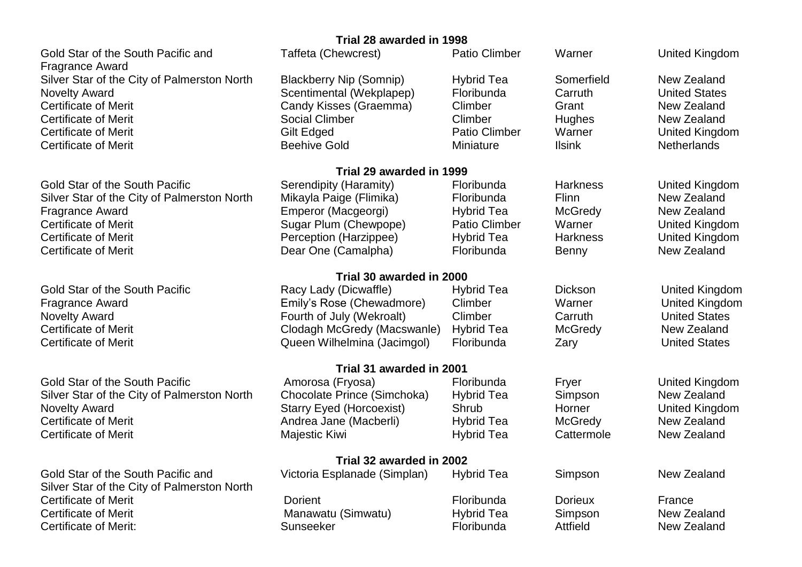Gold Star of the South Pacific and Taffeta (Chewcrest) **Patio Climber** Warner Warner United Kingdom Fragrance Award Silver Star of the City of Palmerston North Blackberry Nip (Somnip) Hybrid Tea Somerfield New Zealand Novelty Award Scentimental (Wekplapep) Floribunda Carruth United States Certificate of Merit **Candy Kisses (Graemma)** Climber Grant Grant New Zealand Certificate of Merit Social Climber Climber Hughes New Zealand Certificate of Merit **Guilt Communist Cilt Edged** And Desired Patio Climber Marner Controlled Kingdom Certificate of Merit **Exercicial Certificate of Merith** Netherlands

Gold Star of the South Pacific Serendipity (Haramity) Floribunda Harkness United Kingdom Silver Star of the City of Palmerston North Mikayla Paige (Flimika) Floribunda Flinn Flinn New Zealand Fragrance Award **Emperor (Macgeorgi)** Hybrid Tea McGredy New Zealand Certificate of Merit **Sugar Plum (Chewpope)** Patio Climber Warner United Kingdom Certificate of Merit **Perception (Harzippee)** Hybrid Tea Harkness United Kingdom Certificate of Merit **Exercice 2** Cear One (Camalpha) **Floribunda** Benny New Zealand

Gold Star of the South Pacific **Amorosa (Fryosa)** Floribunda Fryer Fryer Britted Kingdom Silver Star of the City of Palmerston North Chocolate Prince (Simchoka) Hybrid Tea Simpson New Zealand Novelty Award **Starry Eyed (Horcoexist)** Shrub Shrub Horner United Kingdom Certificate of Merit **Certificate of Merith Andrea Jane (Macberli**) Hybrid Tea McGredy New Zealand

Gold Star of the South Pacific and Victoria Esplanade (Simplan) Hybrid Tea Simpson New Zealand Silver Star of the City of Palmerston North Certificate of Merit Dorient Floribunda Dorieux France Certificate of Merit **Manawatu (Simwatu)** Hybrid Tea Simpson New Zealand Certificate of Merit: Certificate of Merit: Sunseeker Sunseeker Floribunda Attfield New Zealand

# **Trial 28 awarded in 1998**

# **Trial 29 awarded in 1999**

# **Trial 30 awarded in 2000**

Gold Star of the South Pacific **Racy Lady (Dicwaffle)** Hybrid Tea Dickson United Kingdom Fragrance Award **Emily's Rose (Chewadmore)** Climber Warner Warner United Kingdom Novelty Award **Fourth of July (Wekroalt)** Climber Carruth Carruth United States Certificate of Merit **CREAGGILL COMETAGES** Clodagh McGredy (Macswanle) Hybrid Tea McGredy New Zealand Certificate of Merit Queen Wilhelmina (Jacimgol) Floribunda Zary United States

## **Trial 31 awarded in 2001**

Certificate of Merit **Matube 20 Exercise Certificate of Merith Majestic Kiwi Hybrid Tea** Cattermole New Zealand

**Trial 32 awarded in 2002**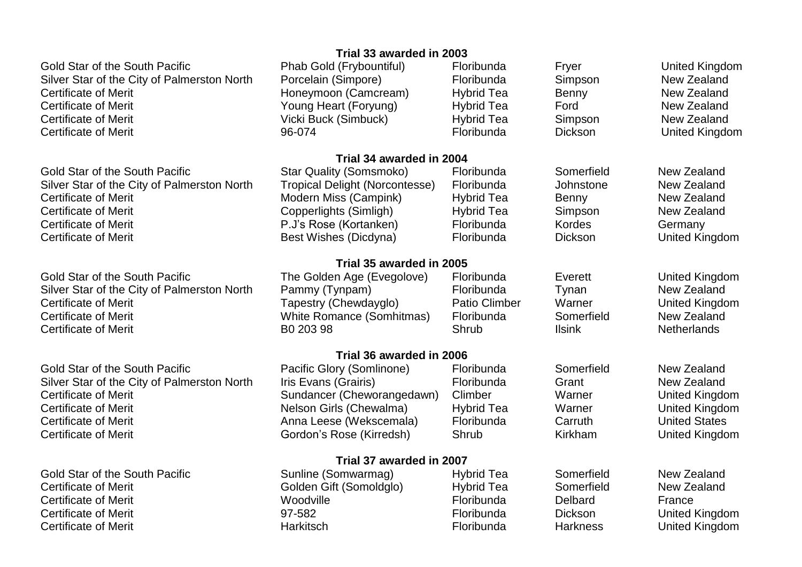Gold Star of the South Pacific **No. 2018** Phab Gold (Frybountiful) Floribunda Fryer Freer Fryer United Kingdom Silver Star of the City of Palmerston North Porcelain (Simpore) Floribunda Simpson New Zealand Certificate of Merit **Exercise 2** Certificate of Merit New Zealand Honeymoon (Camcream) Hybrid Tea Benny New Zealand Certificate of Merit **New Zealand** Young Heart (Foryung) Hybrid Tea Ford Ford New Zealand Certificate of Merit **New Zealand** Vicki Buck (Simbuck) **Hybrid Tea** Simpson New Zealand Certificate of Merit 96-074 Floribunda Dickson United Kingdom

Gold Star of the South Pacific Star Quality (Somsmoko) Floribunda Somerfield New Zealand Silver Star of the City of Palmerston North Tropical Delight (Norcontesse) Floribunda Johnstone New Zealand Certificate of Merit **Music Comping Modern Miss (Campink)** Hybrid Tea Benny New Zealand Certificate of Merit **Copperlights (Simligh)** Hybrid Tea Simpson New Zealand Certificate of Merit **Example 2.4 Certificate of Merit** Germany Reserves Cortanken) Certificate Cortany Germany Certificate of Merit **Best Wishes (Dicdyna)** Floribunda Dickson Dickson United Kingdom

Gold Star of the South Pacific The Golden Age (Evegolove) Floribunda Everett United Kingdom Silver Star of the City of Palmerston North Pammy (Tynpam) Floribunda Tynan Tynan New Zealand<br>Certificate of Merit **Francesty (Chewdavglo)** Patio Climber Warner United Kingdo Certificate of Merit **Tapestry (Chewdayglo)** Patio Climber Warner Warner United Kingdom Certificate of Merit **New Zealand** White Romance (Somhitmas) Floribunda Somerfield New Zealand Certificate of Merit **Certificate of Merith Certificate of Meritian**ds **B0 203 98** Shrub Ilsink Netherlands

Gold Star of the South Pacific **Example 20 Flort Pacific Glory (Somlinone)** Floribunda Somerfield New Zealand Silver Star of the City of Palmerston North Iris Evans (Grairis) Floribunda Grant Grant New Zealand Certificate of Merit **Sundancer (Cheworangedawn)** Climber Warner Warner United Kingdom Certificate of Merit **Nelson Girls (Chewalma)** Hybrid Tea Warner Marner United Kingdom Certificate of Merit **Anna Leese (Wekscemala)** Floribunda Carruth United States Certificate of Merit **Connect Condon's Rose (Kirredsh)** Shrub Kirkham Munited Kingdom

Gold Star of the South Pacific Sunline (Somwarmag) Bundamagneed Hybrid Tea Somerfield New Zealand Certificate of Merit **Collen Gift (Somoldglo)** Hybrid Tea Somerfield New Zealand Certificate of Merit **Exercise Certificate of Merit Certificate of Merit Certificate Certificate Certificate Certificate Certificate Certificate Certificate Certificate Certificate Certificate Certificate Certificate Certi** Certificate of Merit 97-582 Floribunda Dickson United Kingdom Certificate of Merit **Floribunda** Harkitsch **Floribunda** Harkness Builded Kingdom

#### **Trial 33 awarded in 2003**

# **Trial 34 awarded in 2004**

**Trial 35 awarded in 2005**

**Trial 36 awarded in 2006**

#### **Trial 37 awarded in 2007**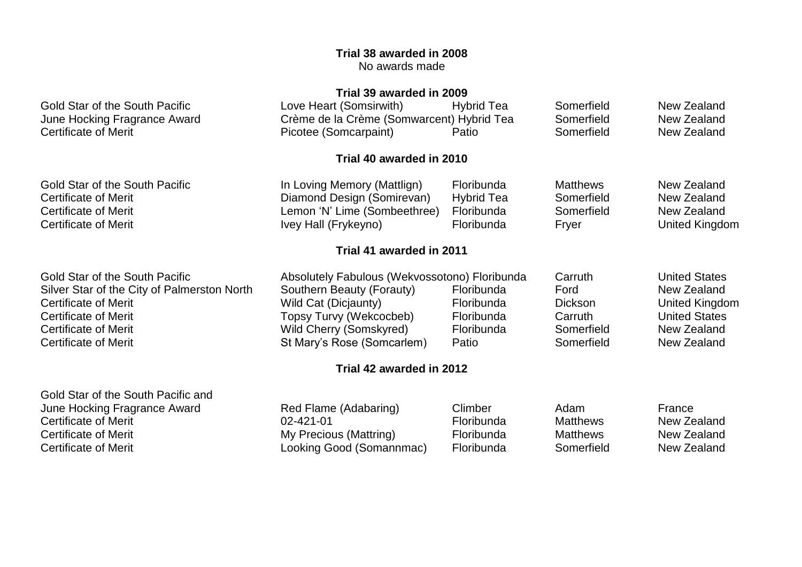# **Trial 38 awarded in 2008** No awards made

# **Trial 39 awarded in 2009**

|                                             | THAT J <i>J</i> AWALUGU III <i>L</i> UUJ      |                   |                 |                      |
|---------------------------------------------|-----------------------------------------------|-------------------|-----------------|----------------------|
| Gold Star of the South Pacific              | Love Heart (Somsirwith)                       | Hybrid Tea        | Somerfield      | New Zealand          |
| June Hocking Fragrance Award                | Crème de la Crème (Somwarcent) Hybrid Tea     |                   | Somerfield      | New Zealand          |
| <b>Certificate of Merit</b>                 | Picotee (Somcarpaint)                         | Patio             | Somerfield      | New Zealand          |
|                                             | Trial 40 awarded in 2010                      |                   |                 |                      |
| Gold Star of the South Pacific              | In Loving Memory (Mattlign)                   | Floribunda        | <b>Matthews</b> | New Zealand          |
| Certificate of Merit                        | Diamond Design (Somirevan)                    | <b>Hybrid Tea</b> | Somerfield      | New Zealand          |
| Certificate of Merit                        | Lemon 'N' Lime (Sombeethree)                  | Floribunda        | Somerfield      | New Zealand          |
| <b>Certificate of Merit</b>                 | Ivey Hall (Frykeyno)                          | Floribunda        | Fryer           | United Kingdom       |
|                                             | Trial 41 awarded in 2011                      |                   |                 |                      |
| Gold Star of the South Pacific              | Absolutely Fabulous (Wekvossotono) Floribunda |                   | Carruth         | <b>United States</b> |
| Silver Star of the City of Palmerston North | Southern Beauty (Forauty)                     | Floribunda        | Ford            | New Zealand          |
| Certificate of Merit                        | Wild Cat (Dicjaunty)                          | Floribunda        | <b>Dickson</b>  | United Kingdom       |
| <b>Certificate of Merit</b>                 | Topsy Turvy (Wekcocbeb)                       | Floribunda        | Carruth         | <b>United States</b> |
| Certificate of Merit                        | Wild Cherry (Somskyred)                       | Floribunda        | Somerfield      | New Zealand          |
| <b>Certificate of Merit</b>                 | St Mary's Rose (Somcarlem)                    | Patio             | Somerfield      | New Zealand          |
|                                             | Trial 42 awarded in 2012                      |                   |                 |                      |
|                                             |                                               |                   |                 |                      |

Gold Star of the South Pacific and June Hocking Fragrance Award **Red Flame (Adabaring)** Climber Adam Adam France Certificate of Merit **Certificate of Merit** Certificate of Merit **New Zealand** Certificate of Merit<br>
Certificate of Merit **New Zealand** Mattring Mattring Mattring **Certificate of Merity Certificate of Merit** Certificate of Certificate of Merit **Exercice 20** Looking Good (Somannmac) Floribunda Somerfield New Zealand

My Precious (Mattring)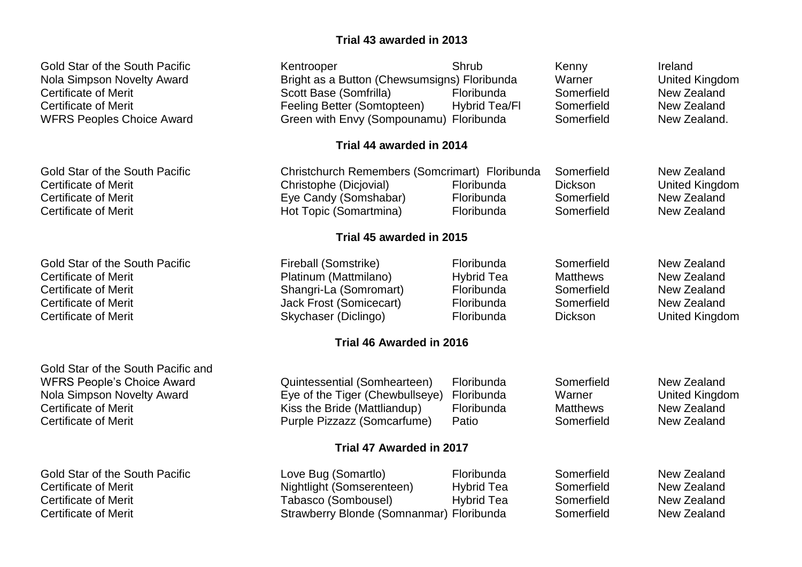# **Trial 43 awarded in 2013**

| Gold Star of the South Pacific<br><b>Nola Simpson Novelty Award</b><br><b>Certificate of Merit</b><br><b>Certificate of Merit</b><br><b>WFRS Peoples Choice Award</b> | Kentrooper<br>Bright as a Button (Chewsumsigns) Floribunda<br>Scott Base (Somfrilla)<br>Feeling Better (Somtopteen)<br>Green with Envy (Sompounamu) Floribunda | Shrub<br>Floribunda<br>Hybrid Tea/Fl                                      | Kenny<br>Warner<br>Somerfield<br>Somerfield<br>Somerfield                   | Ireland<br><b>United Kingdom</b><br>New Zealand<br>New Zealand<br>New Zealand.    |
|-----------------------------------------------------------------------------------------------------------------------------------------------------------------------|----------------------------------------------------------------------------------------------------------------------------------------------------------------|---------------------------------------------------------------------------|-----------------------------------------------------------------------------|-----------------------------------------------------------------------------------|
|                                                                                                                                                                       | Trial 44 awarded in 2014                                                                                                                                       |                                                                           |                                                                             |                                                                                   |
| <b>Gold Star of the South Pacific</b><br><b>Certificate of Merit</b><br><b>Certificate of Merit</b><br><b>Certificate of Merit</b>                                    | Christchurch Remembers (Somcrimart) Floribunda<br>Christophe (Dicjovial)<br>Eye Candy (Somshabar)<br>Hot Topic (Somartmina)                                    | Floribunda<br>Floribunda<br>Floribunda                                    | Somerfield<br><b>Dickson</b><br>Somerfield<br>Somerfield                    | New Zealand<br><b>United Kingdom</b><br>New Zealand<br>New Zealand                |
|                                                                                                                                                                       | Trial 45 awarded in 2015                                                                                                                                       |                                                                           |                                                                             |                                                                                   |
| <b>Gold Star of the South Pacific</b><br><b>Certificate of Merit</b><br><b>Certificate of Merit</b><br><b>Certificate of Merit</b><br><b>Certificate of Merit</b>     | Fireball (Somstrike)<br>Platinum (Mattmilano)<br>Shangri-La (Somromart)<br><b>Jack Frost (Somicecart)</b><br>Skychaser (Diclingo)                              | Floribunda<br><b>Hybrid Tea</b><br>Floribunda<br>Floribunda<br>Floribunda | Somerfield<br><b>Matthews</b><br>Somerfield<br>Somerfield<br><b>Dickson</b> | New Zealand<br>New Zealand<br>New Zealand<br>New Zealand<br><b>United Kingdom</b> |
|                                                                                                                                                                       | Trial 46 Awarded in 2016                                                                                                                                       |                                                                           |                                                                             |                                                                                   |
| Gold Star of the South Pacific and<br><b>WFRS People's Choice Award</b><br>Nola Simpson Novelty Award<br><b>Certificate of Merit</b><br><b>Certificate of Merit</b>   | Quintessential (Somhearteen)<br>Eye of the Tiger (Chewbullseye)<br>Kiss the Bride (Mattliandup)<br>Purple Pizzazz (Somcarfume)                                 | Floribunda<br>Floribunda<br>Floribunda<br>Patio                           | Somerfield<br>Warner<br><b>Matthews</b><br>Somerfield                       | New Zealand<br><b>United Kingdom</b><br>New Zealand<br>New Zealand                |
|                                                                                                                                                                       | Trial 47 Awarded in 2017                                                                                                                                       |                                                                           |                                                                             |                                                                                   |
| <b>Gold Star of the South Pacific</b><br><b>Certificate of Merit</b><br><b>Certificate of Merit</b><br><b>Certificate of Merit</b>                                    | Love Bug (Somartlo)<br>Nightlight (Somserenteen)<br>Tabasco (Sombousel)<br>Strawberry Blonde (Somnanmar) Floribunda                                            | Floribunda<br><b>Hybrid Tea</b><br><b>Hybrid Tea</b>                      | Somerfield<br>Somerfield<br>Somerfield<br>Somerfield                        | New Zealand<br>New Zealand<br>New Zealand<br>New Zealand                          |